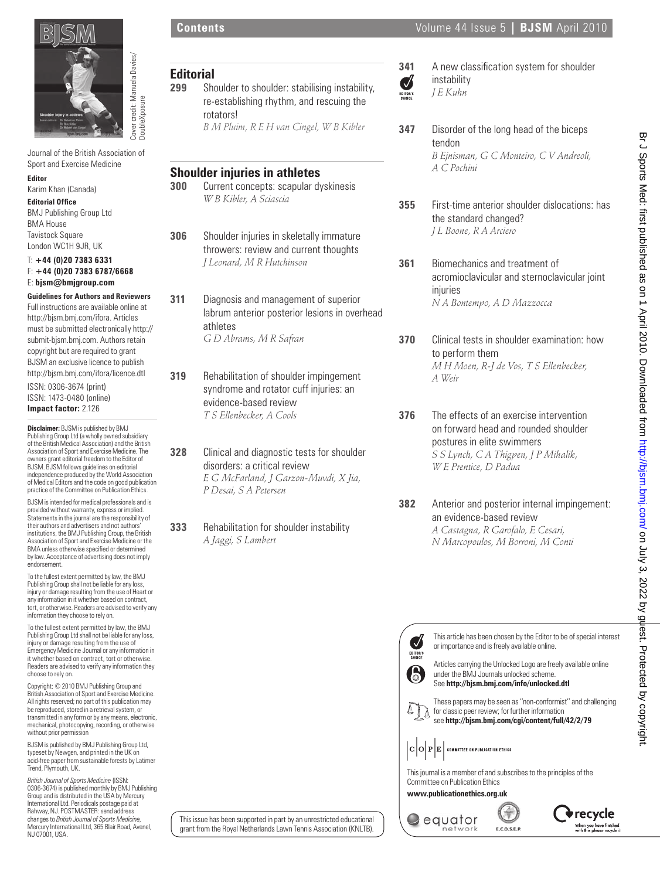

## **Editor**

#### T: **+44 (0)20 7383 6331** F: **+44 (0)20 7383 6787/6668** E: **bjsm@bmjgroup.com**

| Cover credit: Manuela Da<br>DoubleXposure                                                                   | <b>Editorial</b><br>299                 | Shoulder to shoulder: stabilising instability,<br>re-establishing rhythm, and rescuing the<br>rotators! | Ø<br><b>EDITOR'S</b>      | instability<br>J E Kuhn                                                                                    |
|-------------------------------------------------------------------------------------------------------------|-----------------------------------------|---------------------------------------------------------------------------------------------------------|---------------------------|------------------------------------------------------------------------------------------------------------|
| Journal of the British Association of                                                                       | B M Pluim, R E H van Cingel, W B Kibler |                                                                                                         | 347                       | Disorder of the long head of the biceps<br>tendon<br>B Ejnisman, G C Monteiro, C V Andreoli,               |
| Sport and Exercise Medicine<br><b>Editor</b>                                                                |                                         | <b>Shoulder injuries in athletes</b>                                                                    |                           | A C Pochini                                                                                                |
| Karim Khan (Canada)                                                                                         | 300                                     | Current concepts: scapular dyskinesis                                                                   |                           |                                                                                                            |
| <b>Editorial Office</b>                                                                                     |                                         | W B Kibler, A Sciascia                                                                                  | 355                       | First-time anterior shoulder dislocations: has                                                             |
| <b>BMJ Publishing Group Ltd</b>                                                                             |                                         |                                                                                                         |                           | the standard changed?                                                                                      |
| <b>BMA House</b><br><b>Tavistock Square</b>                                                                 | 306                                     | Shoulder injuries in skeletally immature                                                                |                           | J L Boone, R A Arciero                                                                                     |
| London WC1H 9JR, UK                                                                                         |                                         | throwers: review and current thoughts                                                                   |                           |                                                                                                            |
| $T: +44(0)2073836331$                                                                                       |                                         | J Leonard, M R Hutchinson                                                                               | 361                       | Biomechanics and treatment of                                                                              |
| $F: +44(0)2073836787/6668$<br>E: bjsm@bmjgroup.com                                                          |                                         |                                                                                                         |                           | acromioclavicular and sternoclavicular joint                                                               |
| <b>Guidelines for Authors and Reviewers</b>                                                                 |                                         |                                                                                                         |                           | injuries                                                                                                   |
| Full instructions are available online at                                                                   | 311                                     | Diagnosis and management of superior<br>labrum anterior posterior lesions in overhead                   |                           | N A Bontempo, A D Mazzocca                                                                                 |
| http://bjsm.bmj.com/ifora. Articles                                                                         |                                         | athletes                                                                                                |                           |                                                                                                            |
| must be submitted electronically http://<br>submit-bjsm.bmj.com. Authors retain                             |                                         | G D Abrams, M R Safran                                                                                  | 370                       | Clinical tests in shoulder examination: how                                                                |
| copyright but are required to grant                                                                         |                                         |                                                                                                         |                           | to perform them                                                                                            |
| BJSM an exclusive licence to publish<br>http://bjsm.bmj.com/ifora/licence.dtl                               |                                         |                                                                                                         |                           | M H Moen, R-J de Vos, T S Ellenbecker,                                                                     |
| ISSN: 0306-3674 (print)                                                                                     | 319                                     | Rehabilitation of shoulder impingement                                                                  |                           | A Weir                                                                                                     |
| ISSN: 1473-0480 (online)                                                                                    |                                         | syndrome and rotator cuff injuries: an<br>evidence-based review                                         |                           |                                                                                                            |
| Impact factor: 2.126                                                                                        |                                         | T S Ellenbecker, A Cools                                                                                | 376                       | The effects of an exercise intervention                                                                    |
| <b>Disclaimer:</b> BJSM is published by BMJ                                                                 |                                         |                                                                                                         |                           | on forward head and rounded shoulder                                                                       |
| Publishing Group Ltd (a wholly owned subsidiary<br>of the British Medical Association) and the British      |                                         |                                                                                                         |                           | postures in elite swimmers                                                                                 |
| Association of Sport and Exercise Medicine. The<br>owners grant editorial freedom to the Editor of          | 328                                     | Clinical and diagnostic tests for shoulder                                                              |                           | S S Lynch, C A Thigpen, J P Mihalik,                                                                       |
| BJSM. BJSM follows guidelines on editorial<br>independence produced by the World Association                |                                         | disorders: a critical review                                                                            |                           | W E Prentice, D Padua                                                                                      |
| of Medical Editors and the code on good publication<br>practice of the Committee on Publication Ethics.     |                                         | E G McFarland, J Garzon-Muvdi, X Jia,<br>P Desai, S A Petersen                                          |                           |                                                                                                            |
| BJSM is intended for medical professionals and is                                                           |                                         |                                                                                                         | 382                       | Anterior and posterior internal impingement:                                                               |
| provided without warranty, express or implied.<br>Statements in the journal are the responsibility of       |                                         |                                                                                                         |                           | an evidence-based review                                                                                   |
| their authors and advertisers and not authors'<br>institutions, the BMJ Publishing Group, the British       | 333                                     | Rehabilitation for shoulder instability                                                                 |                           | A Castagna, R Garofalo, E Cesari,                                                                          |
| Association of Sport and Exercise Medicine or the<br>BMA unless otherwise specified or determined           |                                         | A Jaggi, S Lambert                                                                                      |                           | N Marcopoulos, M Borroni, M Conti                                                                          |
| by law. Acceptance of advertising does not imply<br>endorsement.                                            |                                         |                                                                                                         |                           |                                                                                                            |
| To the fullest extent permitted by law, the BMJ                                                             |                                         |                                                                                                         |                           |                                                                                                            |
| Publishing Group shall not be liable for any loss,<br>injury or damage resulting from the use of Heart or   |                                         |                                                                                                         |                           |                                                                                                            |
| any information in it whether based on contract.<br>tort, or otherwise. Readers are advised to verify any   |                                         |                                                                                                         |                           |                                                                                                            |
| information they choose to rely on.<br>To the fullest extent permitted by law, the BMJ                      |                                         |                                                                                                         |                           |                                                                                                            |
| Publishing Group Ltd shall not be liable for any loss,<br>injury or damage resulting from the use of        |                                         |                                                                                                         | $\overline{\mathcal{A}}$  | This article has been chosen by the Editor to be of special interest                                       |
| Emergency Medicine Journal or any information in<br>it whether based on contract, tort or otherwise.        |                                         |                                                                                                         | <b>EDITOR'S</b><br>CHOICE | or importance and is freely available online.                                                              |
| Readers are advised to verify any information they<br>choose to rely on.                                    |                                         |                                                                                                         | 6                         | Articles carrying the Unlocked Logo are freely available online<br>under the BMJ Journals unlocked scheme. |
| Copyright: © 2010 BMJ Publishing Group and                                                                  |                                         |                                                                                                         |                           | See http://bjsm.bmj.com/info/unlocked.dtl                                                                  |
| British Association of Sport and Exercise Medicine.<br>All rights reserved; no part of this publication may |                                         |                                                                                                         |                           | These papers may be seen as "non-conformist" and challenging                                               |
| be reproduced, stored in a retrieval system, or<br>transmitted in any form or by any means, electronic,     |                                         |                                                                                                         |                           | for classic peer review; for further information<br>see http://bjsm.bmj.com/cgi/content/full/42/2/79       |
| mechanical, photocopying, recording, or otherwise<br>without prior permission                               |                                         |                                                                                                         |                           |                                                                                                            |
| BJSM is published by BMJ Publishing Group Ltd,                                                              |                                         |                                                                                                         | C O P E                   | <b>COMMITTEE ON PUBLICATION ETHICS</b>                                                                     |
| typeset by Newgen, and printed in the UK on<br>acid-free paper from sustainable forests by Latimer          |                                         |                                                                                                         |                           |                                                                                                            |
| Trend, Plymouth, UK.                                                                                        |                                         |                                                                                                         |                           | This journal is a member of and subscribes to the principles of the                                        |
| British Journal of Sports Medicine (ISSN:<br>0306-3674) is published monthly by BMJ Publishing              |                                         |                                                                                                         |                           | Committee on Publication Ethics<br>www.publicationethics.org.uk                                            |
| Group and is distributed in the USA by Mercury<br>International Ltd. Periodicals postage paid at            |                                         |                                                                                                         |                           |                                                                                                            |
| Rahway, NJ. POSTMASTER: send address<br>changes to British Journal of Sports Medicine,                      |                                         | This issue has been supported in part by an unrestricted educational                                    |                           | recycle'<br>equator<br>When you have finished                                                              |
| Mercury International Ltd, 365 Blair Road, Avenel,                                                          |                                         | grant from the Royal Netherlands Lawn Tennis Association (KNLTB).                                       |                           | network<br>E.C.O.S.E.P.<br>with this please recycle i:                                                     |

**341** A new classification system for shoulder instability *J E Kuhn*

- **347** Disorder of the long head of the biceps tendon *B Ejnisman, G C Monteiro, C V Andreoli, A C Pochini*
- **355** First-time anterior shoulder dislocations: has the standard changed?  *J L Boone, R A Arciero*
- **361** Biomechanics and treatment of acromioclavicular and sternoclavicular joint injuries *N A Bontempo, A D Mazzocca*
- **370** Clinical tests in shoulder examination: how to perform them  *M H Moen, R-J de Vos, T S Ellenbecker, A Weir*
- **376** The effects of an exercise intervention on forward head and rounded shoulder postures in elite swimmers  *S S Lynch, C A Thigpen, J P Mihalik, W E Prentice, D Padua*
- **382** Anterior and posterior internal impingement: an evidence-based review  *A Castagna, R Garofalo, E Cesari, N Marcopoulos, M Borroni, M Conti*